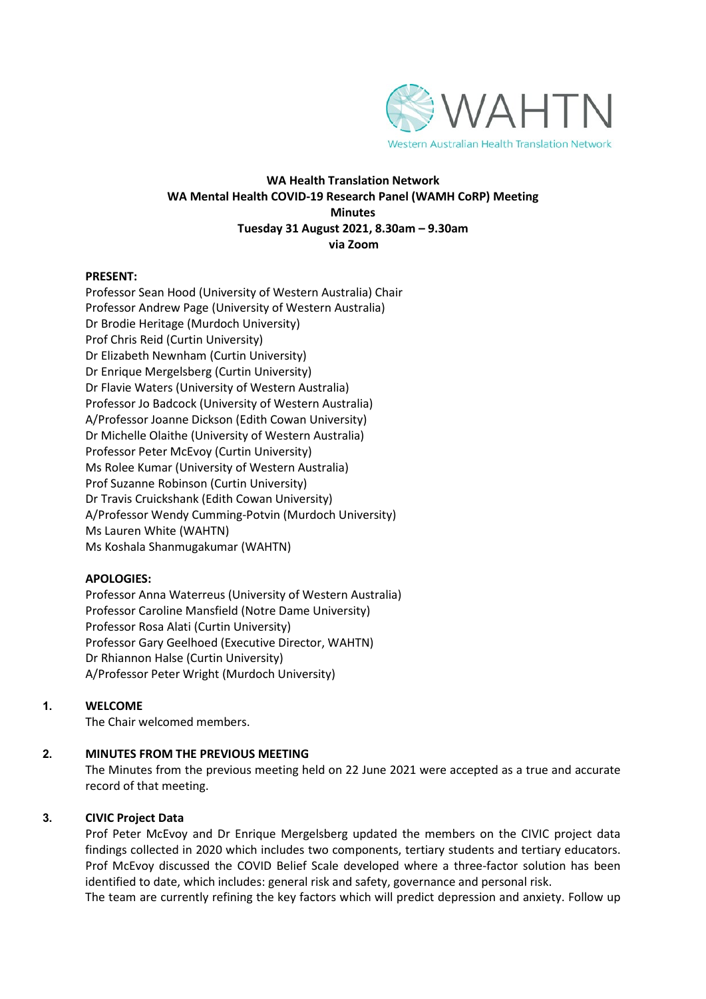

#### Western Australian Health Translation Network

# **WA Health Translation Network WA Mental Health COVID-19 Research Panel (WAMH CoRP) Meeting Minutes Tuesday 31 August 2021, 8.30am – 9.30am via Zoom**

### **PRESENT:**

Professor Sean Hood (University of Western Australia) Chair Professor Andrew Page (University of Western Australia) Dr Brodie Heritage (Murdoch University) Prof Chris Reid (Curtin University) Dr Elizabeth Newnham (Curtin University) Dr Enrique Mergelsberg (Curtin University) Dr Flavie Waters (University of Western Australia) Professor Jo Badcock (University of Western Australia) A/Professor Joanne Dickson (Edith Cowan University) Dr Michelle Olaithe (University of Western Australia) Professor Peter McEvoy (Curtin University) Ms Rolee Kumar (University of Western Australia) Prof Suzanne Robinson (Curtin University) Dr Travis Cruickshank (Edith Cowan University) A/Professor Wendy Cumming-Potvin (Murdoch University) Ms Lauren White (WAHTN) Ms Koshala Shanmugakumar (WAHTN)

## **APOLOGIES:**

Professor Anna Waterreus (University of Western Australia) Professor Caroline Mansfield (Notre Dame University) Professor Rosa Alati (Curtin University) Professor Gary Geelhoed (Executive Director, WAHTN) Dr Rhiannon Halse (Curtin University) A/Professor Peter Wright (Murdoch University)

## **1. WELCOME**

The Chair welcomed members.

## **2. MINUTES FROM THE PREVIOUS MEETING**

The Minutes from the previous meeting held on 22 June 2021 were accepted as a true and accurate record of that meeting.

### **3. CIVIC Project Data**

Prof Peter McEvoy and Dr Enrique Mergelsberg updated the members on the CIVIC project data findings collected in 2020 which includes two components, tertiary students and tertiary educators. Prof McEvoy discussed the COVID Belief Scale developed where a three-factor solution has been identified to date, which includes: general risk and safety, governance and personal risk.

The team are currently refining the key factors which will predict depression and anxiety. Follow up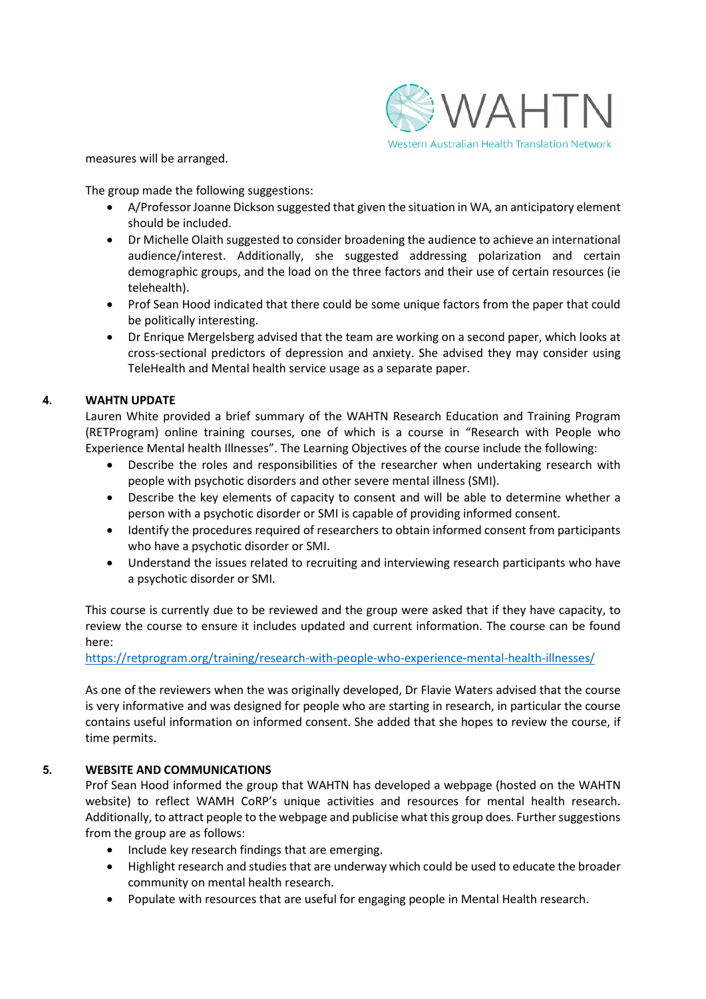

measures will be arranged.

The group made the following suggestions:

- A/Professor Joanne Dickson suggested that given the situation in WA, an anticipatory element should be included.
- Dr Michelle Olaith suggested to consider broadening the audience to achieve an international audience/interest. Additionally, she suggested addressing polarization and certain demographic groups, and the load on the three factors and their use of certain resources (ie telehealth).
- Prof Sean Hood indicated that there could be some unique factors from the paper that could be politically interesting.
- Dr Enrique Mergelsberg advised that the team are working on a second paper, which looks at cross-sectional predictors of depression and anxiety. She advised they may consider using TeleHealth and Mental health service usage as a separate paper.

## **4. WAHTN UPDATE**

Lauren White provided a brief summary of the WAHTN Research Education and Training Program (RETProgram) online training courses, one of which is a course in "Research with People who Experience Mental health Illnesses". The Learning Objectives of the course include the following:

- Describe the roles and responsibilities of the researcher when undertaking research with people with psychotic disorders and other severe mental illness (SMI).
- Describe the key elements of capacity to consent and will be able to determine whether a person with a psychotic disorder or SMI is capable of providing informed consent.
- Identify the procedures required of researchers to obtain informed consent from participants who have a psychotic disorder or SMI.
- Understand the issues related to recruiting and interviewing research participants who have a psychotic disorder or SMI.

This course is currently due to be reviewed and the group were asked that if they have capacity, to review the course to ensure it includes updated and current information. The course can be found here:

<https://retprogram.org/training/research-with-people-who-experience-mental-health-illnesses/>

As one of the reviewers when the was originally developed, Dr Flavie Waters advised that the course is very informative and was designed for people who are starting in research, in particular the course contains useful information on informed consent. She added that she hopes to review the course, if time permits.

## **5. WEBSITE AND COMMUNICATIONS**

Prof Sean Hood informed the group that WAHTN has developed a webpage (hosted on the WAHTN website) to reflect WAMH CoRP's unique activities and resources for mental health research. Additionally, to attract people to the webpage and publicise what this group does. Further suggestions from the group are as follows:

- Include key research findings that are emerging.
- Highlight research and studies that are underway which could be used to educate the broader community on mental health research.
- Populate with resources that are useful for engaging people in Mental Health research.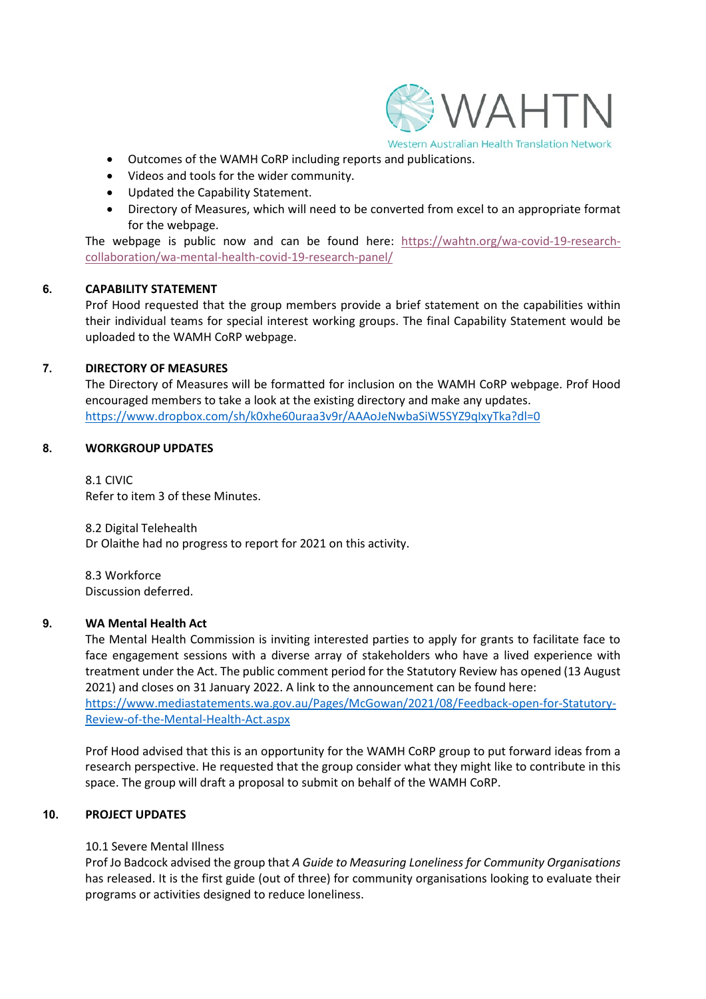

- Outcomes of the WAMH CoRP including reports and publications.
- Videos and tools for the wider community.
- Updated the Capability Statement.
- Directory of Measures, which will need to be converted from excel to an appropriate format for the webpage.

The webpage is public now and can be found here: [https://wahtn.org/wa-covid-19-research](https://aus01.safelinks.protection.outlook.com/?url=https%3A%2F%2Fwahtn.org%2Fwa-covid-19-research-collaboration%2Fwa-mental-health-covid-19-research-panel%2F&data=04%7C01%7Ckoshala.shanmugakumar%40uwa.edu.au%7C052a8486e5724f0a46d308d97271cddf%7C05894af0cb2846d8871674cdb46e2226%7C1%7C0%7C637666655375211123%7CUnknown%7CTWFpbGZsb3d8eyJWIjoiMC4wLjAwMDAiLCJQIjoiV2luMzIiLCJBTiI6Ik1haWwiLCJXVCI6Mn0%3D%7C1000&sdata=AeVTkkjV5Phjr4fm5GUuarAWHaY6%2BpB4vXZNV6cjz60%3D&reserved=0)[collaboration/wa-mental-health-covid-19-research-panel/](https://aus01.safelinks.protection.outlook.com/?url=https%3A%2F%2Fwahtn.org%2Fwa-covid-19-research-collaboration%2Fwa-mental-health-covid-19-research-panel%2F&data=04%7C01%7Ckoshala.shanmugakumar%40uwa.edu.au%7C052a8486e5724f0a46d308d97271cddf%7C05894af0cb2846d8871674cdb46e2226%7C1%7C0%7C637666655375211123%7CUnknown%7CTWFpbGZsb3d8eyJWIjoiMC4wLjAwMDAiLCJQIjoiV2luMzIiLCJBTiI6Ik1haWwiLCJXVCI6Mn0%3D%7C1000&sdata=AeVTkkjV5Phjr4fm5GUuarAWHaY6%2BpB4vXZNV6cjz60%3D&reserved=0)

### **6. CAPABILITY STATEMENT**

Prof Hood requested that the group members provide a brief statement on the capabilities within their individual teams for special interest working groups. The final Capability Statement would be uploaded to the WAMH CoRP webpage.

### **7. DIRECTORY OF MEASURES**

The Directory of Measures will be formatted for inclusion on the WAMH CoRP webpage. Prof Hood encouraged members to take a look at the existing directory and make any updates. <https://www.dropbox.com/sh/k0xhe60uraa3v9r/AAAoJeNwbaSiW5SYZ9qIxyTka?dl=0>

### **8. WORKGROUP UPDATES**

8.1 CIVIC Refer to item 3 of these Minutes.

8.2 Digital Telehealth Dr Olaithe had no progress to report for 2021 on this activity.

8.3 Workforce Discussion deferred.

## **9. WA Mental Health Act**

The Mental Health Commission is inviting interested parties to apply for grants to facilitate face to face engagement sessions with a diverse array of stakeholders who have a lived experience with treatment under the Act. The public comment period for the Statutory Review has opened (13 August 2021) and closes on 31 January 2022. A link to the announcement can be found here: [https://www.mediastatements.wa.gov.au/Pages/McGowan/2021/08/Feedback-open-for-Statutory-](https://aus01.safelinks.protection.outlook.com/?url=https%3A%2F%2Fwww.mediastatements.wa.gov.au%2FPages%2FMcGowan%2F2021%2F08%2FFeedback-open-for-Statutory-Review-of-the-Mental-Health-Act.aspx&data=04%7C01%7Ckoshala.shanmugakumar%40uwa.edu.au%7C95f5715374124d2f87a408d9606ea3af%7C05894af0cb2846d8871674cdb46e2226%7C1%7C0%7C637646850585297668%7CUnknown%7CTWFpbGZsb3d8eyJWIjoiMC4wLjAwMDAiLCJQIjoiV2luMzIiLCJBTiI6Ik1haWwiLCJXVCI6Mn0%3D%7C1000&sdata=w2PklqtGzx6wobAlcIG6jb%2FLtg8UYOn7Vf9WffMBznk%3D&reserved=0)[Review-of-the-Mental-Health-Act.aspx](https://aus01.safelinks.protection.outlook.com/?url=https%3A%2F%2Fwww.mediastatements.wa.gov.au%2FPages%2FMcGowan%2F2021%2F08%2FFeedback-open-for-Statutory-Review-of-the-Mental-Health-Act.aspx&data=04%7C01%7Ckoshala.shanmugakumar%40uwa.edu.au%7C95f5715374124d2f87a408d9606ea3af%7C05894af0cb2846d8871674cdb46e2226%7C1%7C0%7C637646850585297668%7CUnknown%7CTWFpbGZsb3d8eyJWIjoiMC4wLjAwMDAiLCJQIjoiV2luMzIiLCJBTiI6Ik1haWwiLCJXVCI6Mn0%3D%7C1000&sdata=w2PklqtGzx6wobAlcIG6jb%2FLtg8UYOn7Vf9WffMBznk%3D&reserved=0)

Prof Hood advised that this is an opportunity for the WAMH CoRP group to put forward ideas from a research perspective. He requested that the group consider what they might like to contribute in this space. The group will draft a proposal to submit on behalf of the WAMH CoRP.

# **10. PROJECT UPDATES**

## 10.1 Severe Mental Illness

Prof Jo Badcock advised the group that *A Guide to Measuring Loneliness for Community Organisations*  has released. It is the first guide (out of three) for community organisations looking to evaluate their programs or activities designed to reduce loneliness.